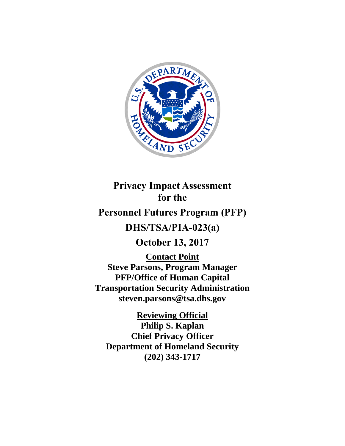

**Privacy Impact Assessment for the**

# **Personnel Futures Program (PFP)**

# **DHS/TSA/PIA-023(a)**

**October 13, 2017**

**Contact Point Steve Parsons, Program Manager PFP/Office of Human Capital Transportation Security Administration steven.parsons@tsa.dhs.gov**

**Reviewing Official**

**Philip S. Kaplan Chief Privacy Officer Department of Homeland Security (202) 343-1717**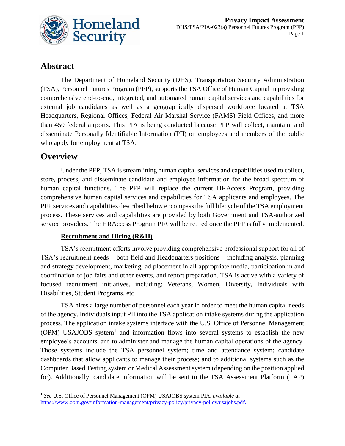

## **Abstract**

The Department of Homeland Security (DHS), Transportation Security Administration (TSA), Personnel Futures Program (PFP), supports the TSA Office of Human Capital in providing comprehensive end-to-end, integrated, and automated human capital services and capabilities for external job candidates as well as a geographically dispersed workforce located at TSA Headquarters, Regional Offices, Federal Air Marshal Service (FAMS) Field Offices, and more than 450 federal airports. This PIA is being conducted because PFP will collect, maintain, and disseminate Personally Identifiable Information (PII) on employees and members of the public who apply for employment at TSA.

## **Overview**

 $\overline{a}$ 

Under the PFP, TSA is streamlining human capital services and capabilities used to collect, store, process, and disseminate candidate and employee information for the broad spectrum of human capital functions. The PFP will replace the current HRAccess Program, providing comprehensive human capital services and capabilities for TSA applicants and employees. The PFP services and capabilities described below encompass the full lifecycle of the TSA employment process. These services and capabilities are provided by both Government and TSA-authorized service providers. The HRAccess Program PIA will be retired once the PFP is fully implemented.

#### **Recruitment and Hiring (R&H)**

TSA's recruitment efforts involve providing comprehensive professional support for all of TSA's recruitment needs – both field and Headquarters positions – including analysis, planning and strategy development, marketing, ad placement in all appropriate media, participation in and coordination of job fairs and other events, and report preparation. TSA is active with a variety of focused recruitment initiatives, including: Veterans, Women, Diversity, Individuals with Disabilities, Student Programs, etc.

TSA hires a large number of personnel each year in order to meet the human capital needs of the agency. Individuals input PII into the TSA application intake systems during the application process. The application intake systems interface with the U.S. Office of Personnel Management (OPM) USAJOBS system<sup>1</sup> and information flows into several systems to establish the new employee's accounts, and to administer and manage the human capital operations of the agency. Those systems include the TSA personnel system; time and attendance system; candidate dashboards that allow applicants to manage their process; and to additional systems such as the Computer Based Testing system or Medical Assessment system (depending on the position applied for). Additionally, candidate information will be sent to the TSA Assessment Platform (TAP)

<sup>1</sup> *See* U.S. Office of Personnel Management (OPM) USAJOBS system PIA, *available at* [https://www.opm.gov/information-management/privacy-policy/privacy-policy/usajobs.pdf.](https://www.opm.gov/information-management/privacy-policy/privacy-policy/usajobs.pdf)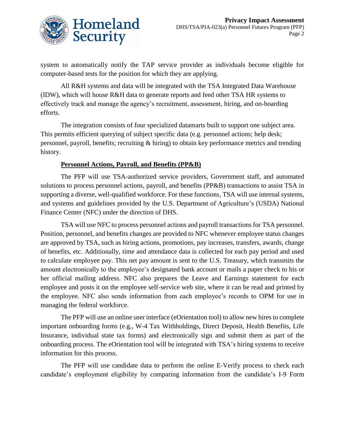

system to automatically notify the TAP service provider as individuals become eligible for computer-based tests for the position for which they are applying.

All R&H systems and data will be integrated with the TSA Integrated Data Warehouse (IDW), which will house R&H data to generate reports and feed other TSA HR systems to effectively track and manage the agency's recruitment, assessment, hiring, and on-boarding efforts.

The integration consists of four specialized datamarts built to support one subject area. This permits efficient querying of subject specific data (e.g. personnel actions; help desk; personnel, payroll, benefits; recruiting & hiring) to obtain key performance metrics and trending history.

#### **Personnel Actions, Payroll, and Benefits (PP&B)**

The PFP will use TSA-authorized service providers, Government staff, and automated solutions to process personnel actions, payroll, and benefits (PP&B) transactions to assist TSA in supporting a diverse, well-qualified workforce. For these functions, TSA will use internal systems, and systems and guidelines provided by the U.S. Department of Agriculture's (USDA) National Finance Center (NFC) under the direction of DHS.

TSA will use NFC to process personnel actions and payroll transactions for TSA personnel. Position, personnel, and benefits changes are provided to NFC whenever employee status changes are approved by TSA, such as hiring actions, promotions, pay increases, transfers, awards, change of benefits, etc. Additionally, time and attendance data is collected for each pay period and used to calculate employee pay. This net pay amount is sent to the U.S. Treasury, which transmits the amount electronically to the employee's designated bank account or mails a paper check to his or her official mailing address. NFC also prepares the Leave and Earnings statement for each employee and posts it on the employee self-service web site, where it can be read and printed by the employee. NFC also sends information from each employee's records to OPM for use in managing the federal workforce.

The PFP will use an online user interface (eOrientation tool) to allow new hires to complete important onboarding forms (e.g., W-4 Tax Withholdings, Direct Deposit, Health Benefits, Life Insurance, individual state tax forms) and electronically sign and submit them as part of the onboarding process. The eOrientation tool will be integrated with TSA's hiring systems to receive information for this process.

The PFP will use candidate data to perform the online E-Verify process to check each candidate's employment eligibility by comparing information from the candidate's I-9 Form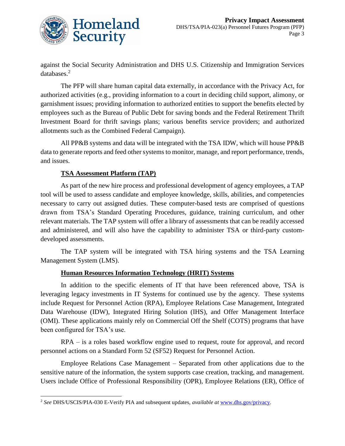

against the Social Security Administration and DHS U.S. Citizenship and Immigration Services databases.<sup>2</sup>

The PFP will share human capital data externally, in accordance with the Privacy Act, for authorized activities (e.g., providing information to a court in deciding child support, alimony, or garnishment issues; providing information to authorized entities to support the benefits elected by employees such as the Bureau of Public Debt for saving bonds and the Federal Retirement Thrift Investment Board for thrift savings plans; various benefits service providers; and authorized allotments such as the Combined Federal Campaign).

All PP&B systems and data will be integrated with the TSA IDW, which will house PP&B data to generate reports and feed other systems to monitor, manage, and report performance, trends, and issues.

#### **TSA Assessment Platform (TAP)**

l

As part of the new hire process and professional development of agency employees, a TAP tool will be used to assess candidate and employee knowledge, skills, abilities, and competencies necessary to carry out assigned duties. These computer-based tests are comprised of questions drawn from TSA's Standard Operating Procedures, guidance, training curriculum, and other relevant materials. The TAP system will offer a library of assessments that can be readily accessed and administered, and will also have the capability to administer TSA or third-party customdeveloped assessments.

The TAP system will be integrated with TSA hiring systems and the TSA Learning Management System (LMS).

#### **Human Resources Information Technology (HRIT) Systems**

In addition to the specific elements of IT that have been referenced above, TSA is leveraging legacy investments in IT Systems for continued use by the agency. These systems include Request for Personnel Action (RPA), Employee Relations Case Management, Integrated Data Warehouse (IDW), Integrated Hiring Solution (IHS), and Offer Management Interface (OMI). These applications mainly rely on Commercial Off the Shelf (COTS) programs that have been configured for TSA's use.

RPA – is a roles based workflow engine used to request, route for approval, and record personnel actions on a Standard Form 52 (SF52) Request for Personnel Action.

Employee Relations Case Management – Separated from other applications due to the sensitive nature of the information, the system supports case creation, tracking, and management. Users include Office of Professional Responsibility (OPR), Employee Relations (ER), Office of

<sup>2</sup> *See* DHS/USCIS/PIA-030 E-Verify PIA and subsequent updates, *available at* [www.dhs.gov/privacy.](http://www.dhs.gov/privacy)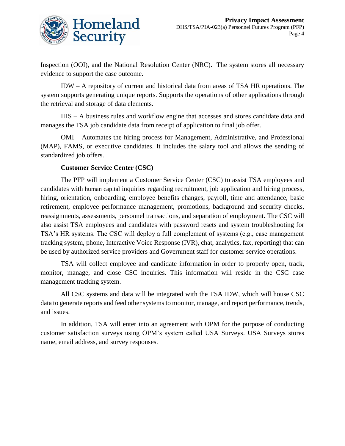

Inspection (OOI), and the National Resolution Center (NRC). The system stores all necessary evidence to support the case outcome.

IDW – A repository of current and historical data from areas of TSA HR operations. The system supports generating unique reports. Supports the operations of other applications through the retrieval and storage of data elements.

IHS – A business rules and workflow engine that accesses and stores candidate data and manages the TSA job candidate data from receipt of application to final job offer.

OMI – Automates the hiring process for Management, Administrative, and Professional (MAP), FAMS, or executive candidates. It includes the salary tool and allows the sending of standardized job offers.

#### **Customer Service Center (CSC)**

The PFP will implement a Customer Service Center (CSC) to assist TSA employees and candidates with human capital inquiries regarding recruitment, job application and hiring process, hiring, orientation, onboarding, employee benefits changes, payroll, time and attendance, basic retirement, employee performance management, promotions, background and security checks, reassignments, assessments, personnel transactions, and separation of employment. The CSC will also assist TSA employees and candidates with password resets and system troubleshooting for TSA's HR systems. The CSC will deploy a full complement of systems (e.g., case management tracking system, phone, Interactive Voice Response (IVR), chat, analytics, fax, reporting) that can be used by authorized service providers and Government staff for customer service operations.

TSA will collect employee and candidate information in order to properly open, track, monitor, manage, and close CSC inquiries. This information will reside in the CSC case management tracking system.

All CSC systems and data will be integrated with the TSA IDW, which will house CSC data to generate reports and feed other systems to monitor, manage, and report performance, trends, and issues.

In addition, TSA will enter into an agreement with OPM for the purpose of conducting customer satisfaction surveys using OPM's system called USA Surveys. USA Surveys stores name, email address, and survey responses.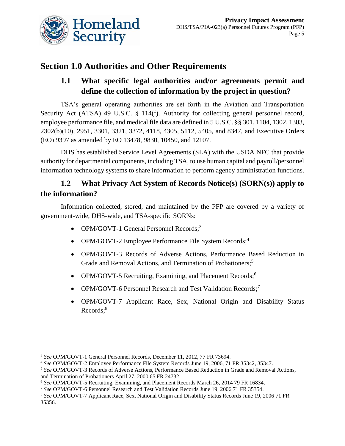

# **Section 1.0 Authorities and Other Requirements**

## **1.1 What specific legal authorities and/or agreements permit and define the collection of information by the project in question?**

TSA's general operating authorities are set forth in the Aviation and Transportation Security Act (ATSA) 49 U.S.C. § 114(f). Authority for collecting general personnel record, employee performance file, and medical file data are defined in 5 U.S.C. §§ 301, 1104, 1302, 1303, 2302(b)(10), 2951, 3301, 3321, 3372, 4118, 4305, 5112, 5405, and 8347, and Executive Orders (EO) 9397 as amended by EO 13478, 9830, 10450, and 12107.

DHS has established Service Level Agreements (SLA) with the USDA NFC that provide authority for departmental components, including TSA, to use human capital and payroll/personnel information technology systems to share information to perform agency administration functions.

### **1.2 What Privacy Act System of Records Notice(s) (SORN(s)) apply to the information?**

Information collected, stored, and maintained by the PFP are covered by a variety of government-wide, DHS-wide, and TSA-specific SORNs:

- OPM/GOVT-1 General Personnel Records;<sup>3</sup>
- OPM/GOVT-2 Employee Performance File System Records;<sup>4</sup>
- OPM/GOVT-3 Records of Adverse Actions, Performance Based Reduction in Grade and Removal Actions, and Termination of Probationers; 5
- OPM/GOVT-5 Recruiting, Examining, and Placement Records;<sup>6</sup>
- OPM/GOVT-6 Personnel Research and Test Validation Records;<sup>7</sup>
- OPM/GOVT-7 Applicant Race, Sex, National Origin and Disability Status Records; 8

 $\overline{a}$ <sup>3</sup> *See* OPM/GOVT-1 General Personnel Records, December 11, 2012, 77 FR 73694.

<sup>4</sup> *See* OPM/GOVT-2 Employee Performance File System Records June 19, 2006, 71 FR 35342, 35347.

<sup>5</sup> *See* OPM/GOVT-3 Records of Adverse Actions, Performance Based Reduction in Grade and Removal Actions, and Termination of Probationers April 27, 2000 65 FR 24732.

<sup>6</sup> *See* OPM/GOVT-5 Recruiting, Examining, and Placement Records March 26, 2014 79 FR 16834.

<sup>7</sup> *See* OPM/GOVT-6 Personnel Research and Test Validation Records June 19, 2006 71 FR 35354.

<sup>8</sup> *See* OPM/GOVT-7 Applicant Race, Sex, National Origin and Disability Status Records June 19, 2006 71 FR 35356.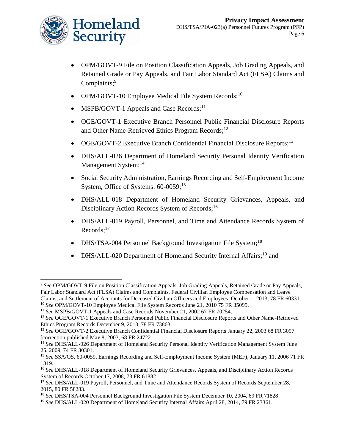

l

- OPM/GOVT-9 File on Position Classification Appeals, Job Grading Appeals, and Retained Grade or Pay Appeals, and Fair Labor Standard Act (FLSA) Claims and Complaints;<sup>9</sup>
- OPM/GOVT-10 Employee Medical File System Records;<sup>10</sup>
- MSPB/GOVT-1 Appeals and Case Records;<sup>11</sup>
- OGE/GOVT-1 Executive Branch Personnel Public Financial Disclosure Reports and Other Name-Retrieved Ethics Program Records;<sup>12</sup>
- OGE/GOVT-2 Executive Branch Confidential Financial Disclosure Reports;<sup>13</sup>
- DHS/ALL-026 Department of Homeland Security Personal Identity Verification Management System;<sup>14</sup>
- Social Security Administration, Earnings Recording and Self-Employment Income System, Office of Systems: 60-0059;<sup>15</sup>
- DHS/ALL-018 Department of Homeland Security Grievances, Appeals, and Disciplinary Action Records System of Records;<sup>16</sup>
- DHS/ALL-019 Payroll, Personnel, and Time and Attendance Records System of Records;<sup>17</sup>
- DHS/TSA-004 Personnel Background Investigation File System;<sup>18</sup>
- DHS/ALL-020 Department of Homeland Security Internal Affairs;<sup>19</sup> and

<sup>9</sup> *See* OPM/GOVT-9 File on Position Classification Appeals, Job Grading Appeals, Retained Grade or Pay Appeals, Fair Labor Standard Act (FLSA) Claims and Complaints, Federal Civilian Employee Compensation and Leave Claims, and Settlement of Accounts for Deceased Civilian Officers and Employees, October 1, 2013, 78 FR 60331.

<sup>10</sup> *See* OPM/GOVT-10 Employee Medical File System Records June 21, 2010 75 FR 35099.

<sup>11</sup> *See* MSPB/GOVT-1 Appeals and Case Records November 21, 2002 67 FR 70254.

<sup>12</sup> *See* OGE/GOVT-1 Executive Branch Personnel Public Financial Disclosure Reports and Other Name-Retrieved Ethics Program Records December 9, 2013, 78 FR 73863.

<sup>13</sup> *See* OGE/GOVT-2 Executive Branch Confidential Financial Disclosure Reports January 22, 2003 68 FR 3097 [correction published May 8, 2003, 68 FR 24722.

<sup>&</sup>lt;sup>14</sup> See DHS/ALL-026 Department of Homeland Security Personal Identity Verification Management System June 25, 2009, 74 FR 30301.

<sup>15</sup> *See* SSA/OS, 60-0059, Earnings Recording and Self-Employment Income System (MEF), January 11, 2006 71 FR 1819.

<sup>16</sup> *See* DHS/ALL-018 Department of Homeland Security Grievances, Appeals, and Disciplinary Action Records System of Records October 17, 2008, 73 FR 61882.

<sup>17</sup> *See* DHS/ALL-019 Payroll, Personnel, and Time and Attendance Records System of Records September 28, 2015, 80 FR 58283.

<sup>18</sup> *See* DHS/TSA-004 Personnel Background Investigation File System December 10, 2004, 69 FR 71828.

<sup>&</sup>lt;sup>19</sup> See DHS/ALL-020 Department of Homeland Security Internal Affairs April 28, 2014, 79 FR 23361.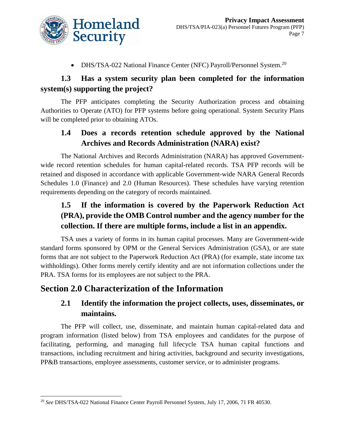

• DHS/TSA-022 National Finance Center (NFC) Payroll/Personnel System.<sup>20</sup>

#### **1.3 Has a system security plan been completed for the information system(s) supporting the project?**

The PFP anticipates completing the Security Authorization process and obtaining Authorities to Operate (ATO) for PFP systems before going operational. System Security Plans will be completed prior to obtaining ATOs.

#### **1.4 Does a records retention schedule approved by the National Archives and Records Administration (NARA) exist?**

The National Archives and Records Administration (NARA) has approved Governmentwide record retention schedules for human capital-related records. TSA PFP records will be retained and disposed in accordance with applicable Government-wide NARA General Records Schedules 1.0 (Finance) and 2.0 (Human Resources). These schedules have varying retention requirements depending on the category of records maintained.

## **1.5 If the information is covered by the Paperwork Reduction Act (PRA), provide the OMB Control number and the agency number for the collection. If there are multiple forms, include a list in an appendix.**

TSA uses a variety of forms in its human capital processes. Many are Government-wide standard forms sponsored by OPM or the General Services Administration (GSA), or are state forms that are not subject to the Paperwork Reduction Act (PRA) (for example, state income tax withholdings). Other forms merely certify identity and are not information collections under the PRA. TSA forms for its employees are not subject to the PRA.

### **Section 2.0 Characterization of the Information**

#### **2.1 Identify the information the project collects, uses, disseminates, or maintains.**

The PFP will collect, use, disseminate, and maintain human capital-related data and program information (listed below) from TSA employees and candidates for the purpose of facilitating, performing, and managing full lifecycle TSA human capital functions and transactions, including recruitment and hiring activities, background and security investigations, PP&B transactions, employee assessments, customer service, or to administer programs.

l <sup>20</sup> *See* DHS/TSA-022 National Finance Center Payroll Personnel System, July 17, 2006, 71 FR 40530.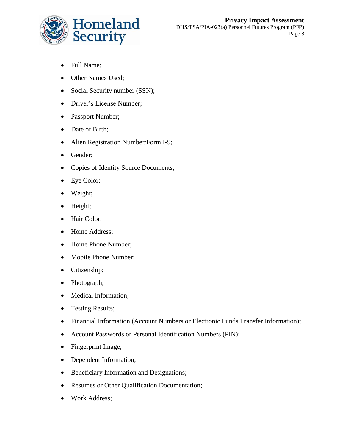

- Full Name;
- Other Names Used;
- Social Security number (SSN);
- Driver's License Number;
- Passport Number;
- Date of Birth;
- Alien Registration Number/Form I-9;
- Gender;
- Copies of Identity Source Documents;
- Eye Color;
- Weight;
- Height;
- Hair Color;
- Home Address;
- Home Phone Number;
- Mobile Phone Number;
- Citizenship;
- Photograph;
- Medical Information;
- Testing Results;
- Financial Information (Account Numbers or Electronic Funds Transfer Information);
- Account Passwords or Personal Identification Numbers (PIN);
- Fingerprint Image;
- Dependent Information;
- Beneficiary Information and Designations;
- Resumes or Other Qualification Documentation;
- Work Address;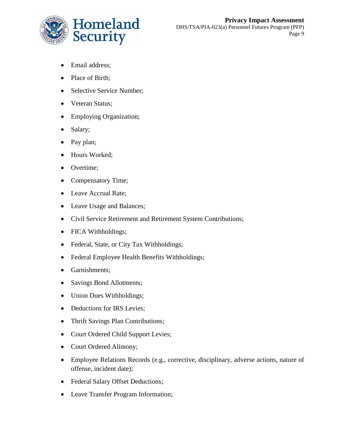

- Email address;
- Place of Birth:
- Selective Service Number:
- Veteran Status;
- Employing Organization;
- Salary;
- Pay plan;
- Hours Worked;
- Overtime;
- Compensatory Time;
- Leave Accrual Rate;
- Leave Usage and Balances;
- Civil Service Retirement and Retirement System Contributions;
- FICA Withholdings;
- Federal, State, or City Tax Withholdings;
- Federal Employee Health Benefits Withholdings;
- Garnishments;
- Savings Bond Allotments;
- Union Dues Withholdings;
- Deductions for IRS Levies;
- Thrift Savings Plan Contributions;
- Court Ordered Child Support Levies;
- Court Ordered Alimony;
- Employee Relations Records (e.g., corrective, disciplinary, adverse actions, nature of offense, incident date);
- Federal Salary Offset Deductions;
- Leave Transfer Program Information;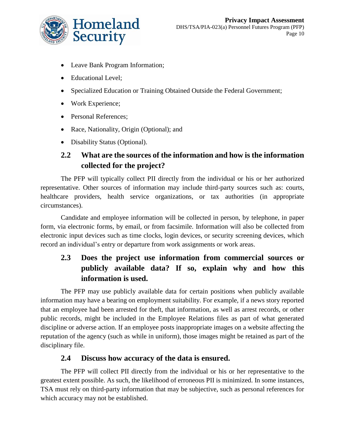

- Leave Bank Program Information;
- Educational Level:
- Specialized Education or Training Obtained Outside the Federal Government;
- Work Experience;
- Personal References;
- Race, Nationality, Origin (Optional); and
- Disability Status (Optional).

#### **2.2 What are the sources of the information and how is the information collected for the project?**

The PFP will typically collect PII directly from the individual or his or her authorized representative. Other sources of information may include third-party sources such as: courts, healthcare providers, health service organizations, or tax authorities (in appropriate circumstances).

Candidate and employee information will be collected in person, by telephone, in paper form, via electronic forms, by email, or from facsimile. Information will also be collected from electronic input devices such as time clocks, login devices, or security screening devices, which record an individual's entry or departure from work assignments or work areas.

## **2.3 Does the project use information from commercial sources or publicly available data? If so, explain why and how this information is used.**

The PFP may use publicly available data for certain positions when publicly available information may have a bearing on employment suitability. For example, if a news story reported that an employee had been arrested for theft, that information, as well as arrest records, or other public records, might be included in the Employee Relations files as part of what generated discipline or adverse action. If an employee posts inappropriate images on a website affecting the reputation of the agency (such as while in uniform), those images might be retained as part of the disciplinary file.

#### **2.4 Discuss how accuracy of the data is ensured.**

The PFP will collect PII directly from the individual or his or her representative to the greatest extent possible. As such, the likelihood of erroneous PII is minimized. In some instances, TSA must rely on third-party information that may be subjective, such as personal references for which accuracy may not be established.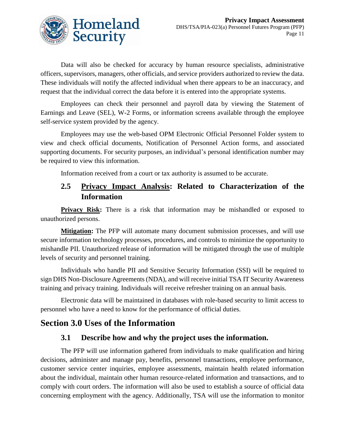

Data will also be checked for accuracy by human resource specialists, administrative officers, supervisors, managers, other officials, and service providers authorized to review the data. These individuals will notify the affected individual when there appears to be an inaccuracy, and request that the individual correct the data before it is entered into the appropriate systems.

Employees can check their personnel and payroll data by viewing the Statement of Earnings and Leave (SEL), W-2 Forms, or information screens available through the employee self-service system provided by the agency.

Employees may use the web-based OPM Electronic Official Personnel Folder system to view and check official documents, Notification of Personnel Action forms, and associated supporting documents. For security purposes, an individual's personal identification number may be required to view this information.

Information received from a court or tax authority is assumed to be accurate.

#### **2.5 Privacy Impact Analysis: Related to Characterization of the Information**

**Privacy Risk:** There is a risk that information may be mishandled or exposed to unauthorized persons.

**Mitigation:** The PFP will automate many document submission processes, and will use secure information technology processes, procedures, and controls to minimize the opportunity to mishandle PII. Unauthorized release of information will be mitigated through the use of multiple levels of security and personnel training.

Individuals who handle PII and Sensitive Security Information (SSI) will be required to sign DHS Non-Disclosure Agreements (NDA), and will receive initial TSA IT Security Awareness training and privacy training. Individuals will receive refresher training on an annual basis.

Electronic data will be maintained in databases with role-based security to limit access to personnel who have a need to know for the performance of official duties.

## **Section 3.0 Uses of the Information**

#### **3.1 Describe how and why the project uses the information.**

The PFP will use information gathered from individuals to make qualification and hiring decisions, administer and manage pay, benefits, personnel transactions, employee performance, customer service center inquiries, employee assessments, maintain health related information about the individual, maintain other human resource-related information and transactions, and to comply with court orders. The information will also be used to establish a source of official data concerning employment with the agency. Additionally, TSA will use the information to monitor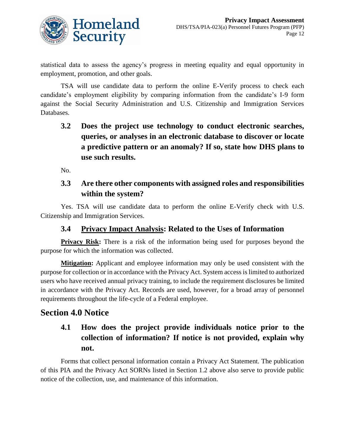

statistical data to assess the agency's progress in meeting equality and equal opportunity in employment, promotion, and other goals.

TSA will use candidate data to perform the online E-Verify process to check each candidate's employment eligibility by comparing information from the candidate's I-9 form against the Social Security Administration and U.S. Citizenship and Immigration Services Databases.

**3.2 Does the project use technology to conduct electronic searches, queries, or analyses in an electronic database to discover or locate a predictive pattern or an anomaly? If so, state how DHS plans to use such results.**

No.

#### **3.3 Are there other components with assigned roles and responsibilities within the system?**

Yes. TSA will use candidate data to perform the online E-Verify check with U.S. Citizenship and Immigration Services.

#### **3.4 Privacy Impact Analysis: Related to the Uses of Information**

**Privacy Risk:** There is a risk of the information being used for purposes beyond the purpose for which the information was collected.

**Mitigation:** Applicant and employee information may only be used consistent with the purpose for collection or in accordance with the Privacy Act. System access is limited to authorized users who have received annual privacy training, to include the requirement disclosures be limited in accordance with the Privacy Act. Records are used, however, for a broad array of personnel requirements throughout the life-cycle of a Federal employee.

### **Section 4.0 Notice**

## **4.1 How does the project provide individuals notice prior to the collection of information? If notice is not provided, explain why not.**

Forms that collect personal information contain a Privacy Act Statement. The publication of this PIA and the Privacy Act SORNs listed in Section 1.2 above also serve to provide public notice of the collection, use, and maintenance of this information.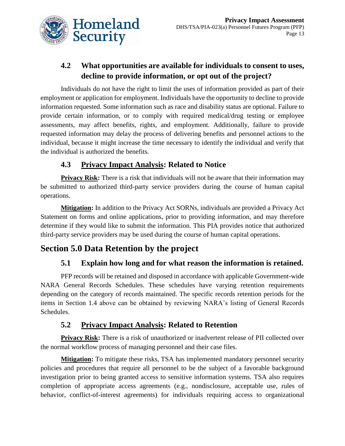

## **4.2 What opportunities are available for individuals to consent to uses, decline to provide information, or opt out of the project?**

Individuals do not have the right to limit the uses of information provided as part of their employment or application for employment. Individuals have the opportunity to decline to provide information requested. Some information such as race and disability status are optional. Failure to provide certain information, or to comply with required medical/drug testing or employee assessments, may affect benefits, rights, and employment. Additionally, failure to provide requested information may delay the process of delivering benefits and personnel actions to the individual, because it might increase the time necessary to identify the individual and verify that the individual is authorized the benefits.

#### **4.3 Privacy Impact Analysis: Related to Notice**

**Privacy Risk:** There is a risk that individuals will not be aware that their information may be submitted to authorized third-party service providers during the course of human capital operations.

**Mitigation:** In addition to the Privacy Act SORNs, individuals are provided a Privacy Act Statement on forms and online applications, prior to providing information, and may therefore determine if they would like to submit the information. This PIA provides notice that authorized third-party service providers may be used during the course of human capital operations.

## **Section 5.0 Data Retention by the project**

#### **5.1 Explain how long and for what reason the information is retained.**

PFP records will be retained and disposed in accordance with applicable Government-wide NARA General Records Schedules. These schedules have varying retention requirements depending on the category of records maintained. The specific records retention periods for the items in Section 1.4 above can be obtained by reviewing NARA's listing of General Records Schedules.

#### **5.2 Privacy Impact Analysis: Related to Retention**

**Privacy Risk:** There is a risk of unauthorized or inadvertent release of PII collected over the normal workflow process of managing personnel and their case files.

**Mitigation:** To mitigate these risks, TSA has implemented mandatory personnel security policies and procedures that require all personnel to be the subject of a favorable background investigation prior to being granted access to sensitive information systems. TSA also requires completion of appropriate access agreements (e.g., nondisclosure, acceptable use, rules of behavior, conflict-of-interest agreements) for individuals requiring access to organizational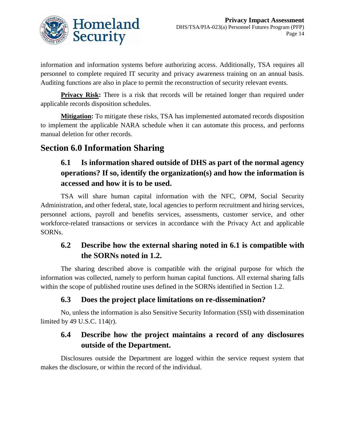

information and information systems before authorizing access. Additionally, TSA requires all personnel to complete required IT security and privacy awareness training on an annual basis. Auditing functions are also in place to permit the reconstruction of security relevant events.

**Privacy Risk:** There is a risk that records will be retained longer than required under applicable records disposition schedules.

**Mitigation:** To mitigate these risks, TSA has implemented automated records disposition to implement the applicable NARA schedule when it can automate this process, and performs manual deletion for other records.

## **Section 6.0 Information Sharing**

## **6.1 Is information shared outside of DHS as part of the normal agency operations? If so, identify the organization(s) and how the information is accessed and how it is to be used.**

TSA will share human capital information with the NFC, OPM, Social Security Administration, and other federal, state, local agencies to perform recruitment and hiring services, personnel actions, payroll and benefits services, assessments, customer service, and other workforce-related transactions or services in accordance with the Privacy Act and applicable SORNs.

#### **6.2 Describe how the external sharing noted in 6.1 is compatible with the SORNs noted in 1.2.**

The sharing described above is compatible with the original purpose for which the information was collected, namely to perform human capital functions. All external sharing falls within the scope of published routine uses defined in the SORNs identified in Section 1.2.

#### **6.3 Does the project place limitations on re-dissemination?**

No, unless the information is also Sensitive Security Information (SSI) with dissemination limited by 49 U.S.C. 114(r).

#### **6.4 Describe how the project maintains a record of any disclosures outside of the Department.**

Disclosures outside the Department are logged within the service request system that makes the disclosure, or within the record of the individual.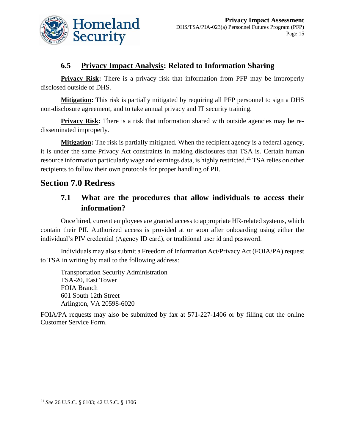

#### **6.5 Privacy Impact Analysis: Related to Information Sharing**

**Privacy Risk:** There is a privacy risk that information from PFP may be improperly disclosed outside of DHS.

**Mitigation:** This risk is partially mitigated by requiring all PFP personnel to sign a DHS non-disclosure agreement, and to take annual privacy and IT security training.

**Privacy Risk:** There is a risk that information shared with outside agencies may be redisseminated improperly.

**Mitigation:** The risk is partially mitigated. When the recipient agency is a federal agency, it is under the same Privacy Act constraints in making disclosures that TSA is. Certain human resource information particularly wage and earnings data, is highly restricted.<sup>21</sup> TSA relies on other recipients to follow their own protocols for proper handling of PII.

### **Section 7.0 Redress**

#### **7.1 What are the procedures that allow individuals to access their information?**

Once hired, current employees are granted access to appropriate HR-related systems, which contain their PII. Authorized access is provided at or soon after onboarding using either the individual's PIV credential (Agency ID card), or traditional user id and password.

Individuals may also submit a Freedom of Information Act/Privacy Act (FOIA/PA) request to TSA in writing by mail to the following address:

Transportation Security Administration TSA-20, East Tower FOIA Branch 601 South 12th Street Arlington, VA 20598-6020

FOIA/PA requests may also be submitted by fax at 571-227-1406 or by filling out the online Customer Service Form.

l

<sup>21</sup> *See* 26 U.S.C. § 6103; 42 U.S.C. § 1306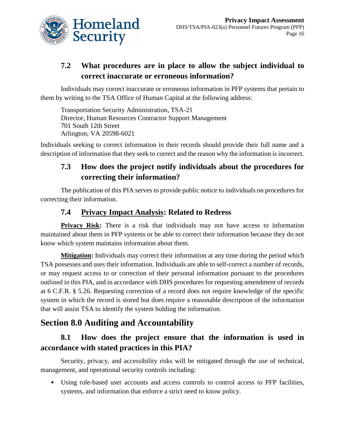

## **7.2 What procedures are in place to allow the subject individual to correct inaccurate or erroneous information?**

Individuals may correct inaccurate or erroneous information in PFP systems that pertain to them by writing to the TSA Office of Human Capital at the following address:

Transportation Security Administration, TSA-21 Director, Human Resources Contractor Support Management 701 South 12th Street Arlington, VA 20598-6021

Individuals seeking to correct information in their records should provide their full name and a description of information that they seek to correct and the reason why the information is incorrect.

## **7.3 How does the project notify individuals about the procedures for correcting their information?**

The publication of this PIA serves to provide public notice to individuals on procedures for correcting their information.

#### **7.4 Privacy Impact Analysis: Related to Redress**

**Privacy Risk:** There is a risk that individuals may not have access to information maintained about them in PFP systems or be able to correct their information because they do not know which system maintains information about them.

**Mitigation:** Individuals may correct their information at any time during the period which TSA possesses and uses their information. Individuals are able to self-correct a number of records, or may request access to or correction of their personal information pursuant to the procedures outlined in this PIA, and in accordance with DHS procedures for requesting amendment of records at 6 C.F.R. § 5.26. Requesting correction of a record does not require knowledge of the specific system in which the record is stored but does require a reasonable description of the information that will assist TSA to identify the system holding the information.

## **Section 8.0 Auditing and Accountability**

### **8.1 How does the project ensure that the information is used in accordance with stated practices in this PIA?**

Security, privacy, and accessibility risks will be mitigated through the use of technical, management, and operational security controls including:

• Using role-based user accounts and access controls to control access to PFP facilities, systems, and information that enforce a strict need to know policy.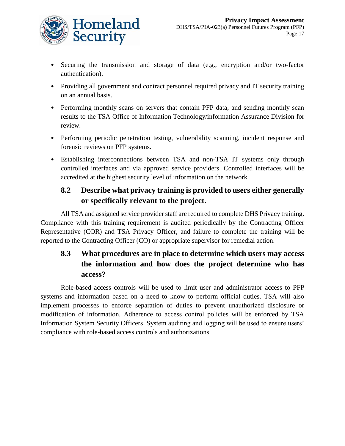

- Securing the transmission and storage of data (e.g., encryption and/or two-factor authentication).
- Providing all government and contract personnel required privacy and IT security training on an annual basis.
- Performing monthly scans on servers that contain PFP data, and sending monthly scan results to the TSA Office of Information Technology/information Assurance Division for review.
- Performing periodic penetration testing, vulnerability scanning, incident response and forensic reviews on PFP systems.
- Establishing interconnections between TSA and non-TSA IT systems only through controlled interfaces and via approved service providers. Controlled interfaces will be accredited at the highest security level of information on the network.

### **8.2 Describe what privacy training is provided to users either generally or specifically relevant to the project.**

All TSA and assigned service provider staff are required to complete DHS Privacy training. Compliance with this training requirement is audited periodically by the Contracting Officer Representative (COR) and TSA Privacy Officer, and failure to complete the training will be reported to the Contracting Officer (CO) or appropriate supervisor for remedial action.

## **8.3 What procedures are in place to determine which users may access the information and how does the project determine who has access?**

Role-based access controls will be used to limit user and administrator access to PFP systems and information based on a need to know to perform official duties. TSA will also implement processes to enforce separation of duties to prevent unauthorized disclosure or modification of information. Adherence to access control policies will be enforced by TSA Information System Security Officers. System auditing and logging will be used to ensure users' compliance with role-based access controls and authorizations.